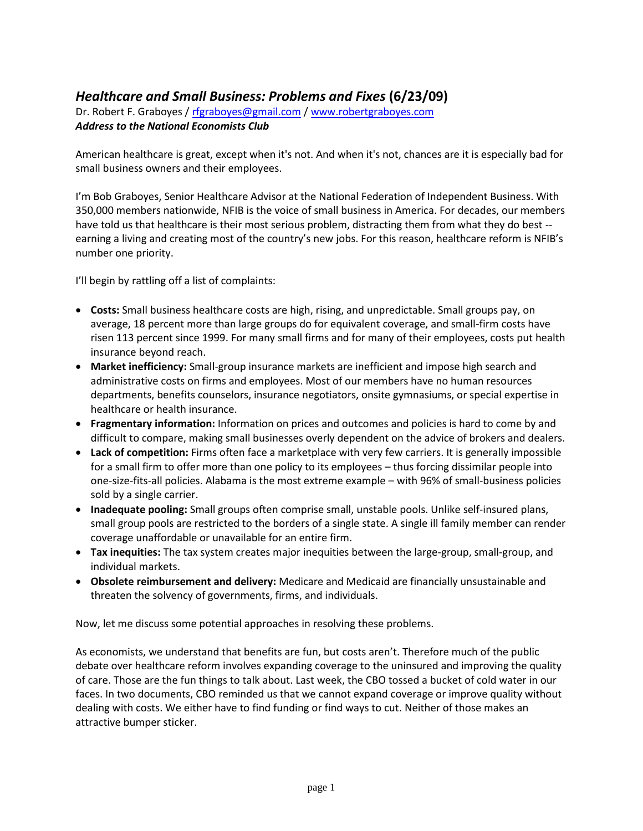## *Healthcare and Small Business: Problems and Fixes* **(6/23/09)**

Dr. Robert F. Graboyes / [rfgraboyes@gmail.com](mailto:rfgraboyes@gmail.com) / [www.robertgraboyes.com](http://www.robertgraboyes.com/) *Address to the National Economists Club*

American healthcare is great, except when it's not. And when it's not, chances are it is especially bad for small business owners and their employees.

I'm Bob Graboyes, Senior Healthcare Advisor at the National Federation of Independent Business. With 350,000 members nationwide, NFIB is the voice of small business in America. For decades, our members have told us that healthcare is their most serious problem, distracting them from what they do best -earning a living and creating most of the country's new jobs. For this reason, healthcare reform is NFIB's number one priority.

I'll begin by rattling off a list of complaints:

- **Costs:** Small business healthcare costs are high, rising, and unpredictable. Small groups pay, on average, 18 percent more than large groups do for equivalent coverage, and small-firm costs have risen 113 percent since 1999. For many small firms and for many of their employees, costs put health insurance beyond reach.
- **Market inefficiency:** Small-group insurance markets are inefficient and impose high search and administrative costs on firms and employees. Most of our members have no human resources departments, benefits counselors, insurance negotiators, onsite gymnasiums, or special expertise in healthcare or health insurance.
- **Fragmentary information:** Information on prices and outcomes and policies is hard to come by and difficult to compare, making small businesses overly dependent on the advice of brokers and dealers.
- **Lack of competition:** Firms often face a marketplace with very few carriers. It is generally impossible for a small firm to offer more than one policy to its employees – thus forcing dissimilar people into one-size-fits-all policies. Alabama is the most extreme example – with 96% of small-business policies sold by a single carrier.
- **Inadequate pooling:** Small groups often comprise small, unstable pools. Unlike self-insured plans, small group pools are restricted to the borders of a single state. A single ill family member can render coverage unaffordable or unavailable for an entire firm.
- **Tax inequities:** The tax system creates major inequities between the large-group, small-group, and individual markets.
- **Obsolete reimbursement and delivery:** Medicare and Medicaid are financially unsustainable and threaten the solvency of governments, firms, and individuals.

Now, let me discuss some potential approaches in resolving these problems.

As economists, we understand that benefits are fun, but costs aren't. Therefore much of the public debate over healthcare reform involves expanding coverage to the uninsured and improving the quality of care. Those are the fun things to talk about. Last week, the CBO tossed a bucket of cold water in our faces. In two documents, CBO reminded us that we cannot expand coverage or improve quality without dealing with costs. We either have to find funding or find ways to cut. Neither of those makes an attractive bumper sticker.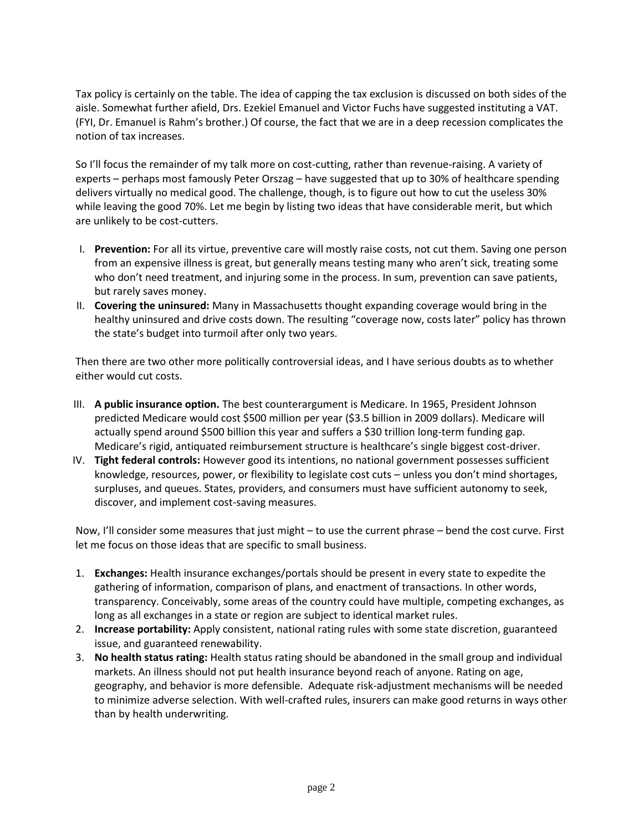Tax policy is certainly on the table. The idea of capping the tax exclusion is discussed on both sides of the aisle. Somewhat further afield, Drs. Ezekiel Emanuel and Victor Fuchs have suggested instituting a VAT. (FYI, Dr. Emanuel is Rahm's brother.) Of course, the fact that we are in a deep recession complicates the notion of tax increases.

So I'll focus the remainder of my talk more on cost-cutting, rather than revenue-raising. A variety of experts – perhaps most famously Peter Orszag – have suggested that up to 30% of healthcare spending delivers virtually no medical good. The challenge, though, is to figure out how to cut the useless 30% while leaving the good 70%. Let me begin by listing two ideas that have considerable merit, but which are unlikely to be cost-cutters.

- I. **Prevention:** For all its virtue, preventive care will mostly raise costs, not cut them. Saving one person from an expensive illness is great, but generally means testing many who aren't sick, treating some who don't need treatment, and injuring some in the process. In sum, prevention can save patients, but rarely saves money.
- II. **Covering the uninsured:** Many in Massachusetts thought expanding coverage would bring in the healthy uninsured and drive costs down. The resulting "coverage now, costs later" policy has thrown the state's budget into turmoil after only two years.

Then there are two other more politically controversial ideas, and I have serious doubts as to whether either would cut costs.

- III. **A public insurance option.** The best counterargument is Medicare. In 1965, President Johnson predicted Medicare would cost \$500 million per year (\$3.5 billion in 2009 dollars). Medicare will actually spend around \$500 billion this year and suffers a \$30 trillion long-term funding gap. Medicare's rigid, antiquated reimbursement structure is healthcare's single biggest cost-driver.
- IV. **Tight federal controls:** However good its intentions, no national government possesses sufficient knowledge, resources, power, or flexibility to legislate cost cuts – unless you don't mind shortages, surpluses, and queues. States, providers, and consumers must have sufficient autonomy to seek, discover, and implement cost-saving measures.

Now, I'll consider some measures that just might – to use the current phrase – bend the cost curve. First let me focus on those ideas that are specific to small business.

- 1. **Exchanges:** Health insurance exchanges/portals should be present in every state to expedite the gathering of information, comparison of plans, and enactment of transactions. In other words, transparency. Conceivably, some areas of the country could have multiple, competing exchanges, as long as all exchanges in a state or region are subject to identical market rules.
- 2. **Increase portability:** Apply consistent, national rating rules with some state discretion, guaranteed issue, and guaranteed renewability.
- 3. **No health status rating:** Health status rating should be abandoned in the small group and individual markets. An illness should not put health insurance beyond reach of anyone. Rating on age, geography, and behavior is more defensible. Adequate risk-adjustment mechanisms will be needed to minimize adverse selection. With well-crafted rules, insurers can make good returns in ways other than by health underwriting.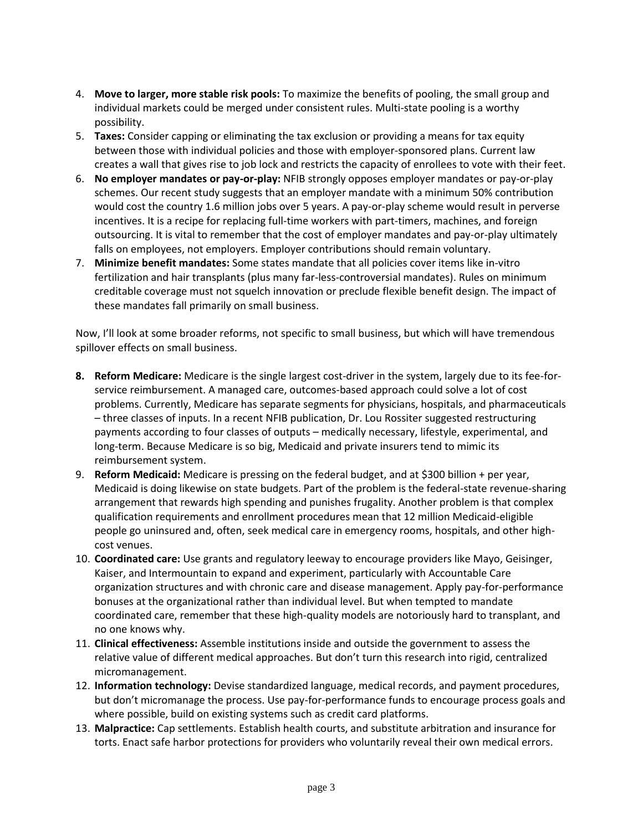- 4. **Move to larger, more stable risk pools:** To maximize the benefits of pooling, the small group and individual markets could be merged under consistent rules. Multi-state pooling is a worthy possibility.
- 5. **Taxes:** Consider capping or eliminating the tax exclusion or providing a means for tax equity between those with individual policies and those with employer-sponsored plans. Current law creates a wall that gives rise to job lock and restricts the capacity of enrollees to vote with their feet.
- 6. **No employer mandates or pay-or-play:** NFIB strongly opposes employer mandates or pay-or-play schemes. Our recent study suggests that an employer mandate with a minimum 50% contribution would cost the country 1.6 million jobs over 5 years. A pay-or-play scheme would result in perverse incentives. It is a recipe for replacing full-time workers with part-timers, machines, and foreign outsourcing. It is vital to remember that the cost of employer mandates and pay-or-play ultimately falls on employees, not employers. Employer contributions should remain voluntary.
- 7. **Minimize benefit mandates:** Some states mandate that all policies cover items like in-vitro fertilization and hair transplants (plus many far-less-controversial mandates). Rules on minimum creditable coverage must not squelch innovation or preclude flexible benefit design. The impact of these mandates fall primarily on small business.

Now, I'll look at some broader reforms, not specific to small business, but which will have tremendous spillover effects on small business.

- **8. Reform Medicare:** Medicare is the single largest cost-driver in the system, largely due to its fee-forservice reimbursement. A managed care, outcomes-based approach could solve a lot of cost problems. Currently, Medicare has separate segments for physicians, hospitals, and pharmaceuticals – three classes of inputs. In a recent NFIB publication, Dr. Lou Rossiter suggested restructuring payments according to four classes of outputs – medically necessary, lifestyle, experimental, and long-term. Because Medicare is so big, Medicaid and private insurers tend to mimic its reimbursement system.
- 9. **Reform Medicaid:** Medicare is pressing on the federal budget, and at \$300 billion + per year, Medicaid is doing likewise on state budgets. Part of the problem is the federal-state revenue-sharing arrangement that rewards high spending and punishes frugality. Another problem is that complex qualification requirements and enrollment procedures mean that 12 million Medicaid-eligible people go uninsured and, often, seek medical care in emergency rooms, hospitals, and other highcost venues.
- 10. **Coordinated care:** Use grants and regulatory leeway to encourage providers like Mayo, Geisinger, Kaiser, and Intermountain to expand and experiment, particularly with Accountable Care organization structures and with chronic care and disease management. Apply pay-for-performance bonuses at the organizational rather than individual level. But when tempted to mandate coordinated care, remember that these high-quality models are notoriously hard to transplant, and no one knows why.
- 11. **Clinical effectiveness:** Assemble institutions inside and outside the government to assess the relative value of different medical approaches. But don't turn this research into rigid, centralized micromanagement.
- 12. **Information technology:** Devise standardized language, medical records, and payment procedures, but don't micromanage the process. Use pay-for-performance funds to encourage process goals and where possible, build on existing systems such as credit card platforms.
- 13. **Malpractice:** Cap settlements. Establish health courts, and substitute arbitration and insurance for torts. Enact safe harbor protections for providers who voluntarily reveal their own medical errors.